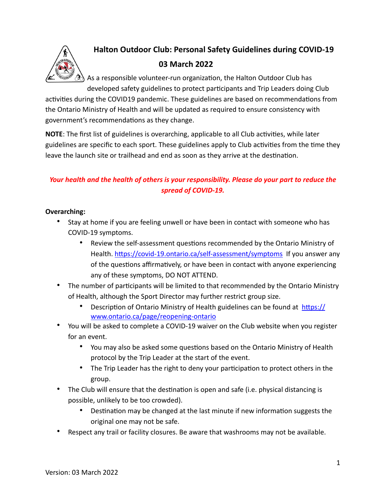

# **Halton Outdoor Club: Personal Safety Guidelines during COVID-19 03 March 2022**

 $\mathfrak{D}_0$  As a responsible volunteer-run organization, the Halton Outdoor Club has developed safety guidelines to protect participants and Trip Leaders doing Club

activities during the COVID19 pandemic. These guidelines are based on recommendations from the Ontario Ministry of Health and will be updated as required to ensure consistency with government's recommendations as they change.

**NOTE:** The first list of guidelines is overarching, applicable to all Club activities, while later guidelines are specific to each sport. These guidelines apply to Club activities from the time they leave the launch site or trailhead and end as soon as they arrive at the destination.

### *Your health and the health of others is your responsibility. Please do your part to reduce the spread of COVID-19.*

### **Overarching:**

- Stay at home if you are feeling unwell or have been in contact with someone who has COVID-19 symptoms.
	- Review the self-assessment questions recommended by the Ontario Ministry of Health. https://covid-19.ontario.ca/self-assessment/symptoms If you answer any of the questions affirmatively, or have been in contact with anyone experiencing any of these symptoms, DO NOT ATTEND.
- The number of participants will be limited to that recommended by the Ontario Ministry of Health, although the Sport Director may further restrict group size.
	- Description of Ontario Ministry of Health guidelines can be found at https:// [www.ontario.ca/page/reopening-ontario](https://www.ontario.ca/page/reopening-ontario)
- You will be asked to complete a COVID-19 waiver on the Club website when you register for an event.
	- You may also be asked some questions based on the Ontario Ministry of Health protocol by the Trip Leader at the start of the event.
	- The Trip Leader has the right to deny your participation to protect others in the group.
- The Club will ensure that the destination is open and safe (i.e. physical distancing is possible, unlikely to be too crowded).
	- Destination may be changed at the last minute if new information suggests the original one may not be safe.
- Respect any trail or facility closures. Be aware that washrooms may not be available.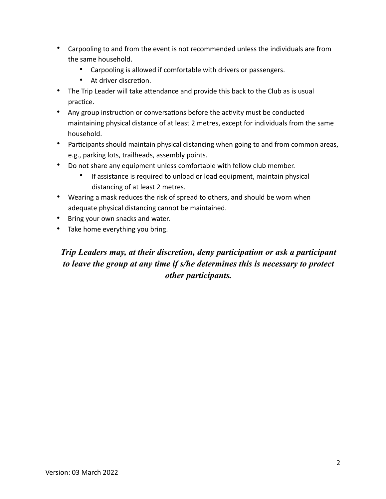- Carpooling to and from the event is not recommended unless the individuals are from the same household.
	- Carpooling is allowed if comfortable with drivers or passengers.
	- At driver discretion.
- The Trip Leader will take attendance and provide this back to the Club as is usual practice.
- Any group instruction or conversations before the activity must be conducted maintaining physical distance of at least 2 metres, except for individuals from the same household.
- Participants should maintain physical distancing when going to and from common areas, e.g., parking lots, trailheads, assembly points.
- Do not share any equipment unless comfortable with fellow club member.
	- If assistance is required to unload or load equipment, maintain physical distancing of at least 2 metres.
- Wearing a mask reduces the risk of spread to others, and should be worn when adequate physical distancing cannot be maintained.
- Bring your own snacks and water.
- Take home everything you bring.

## *Trip Leaders may, at their discretion, deny participation or ask a participant to leave the group at any time if s/he determines this is necessary to protect other participants.*